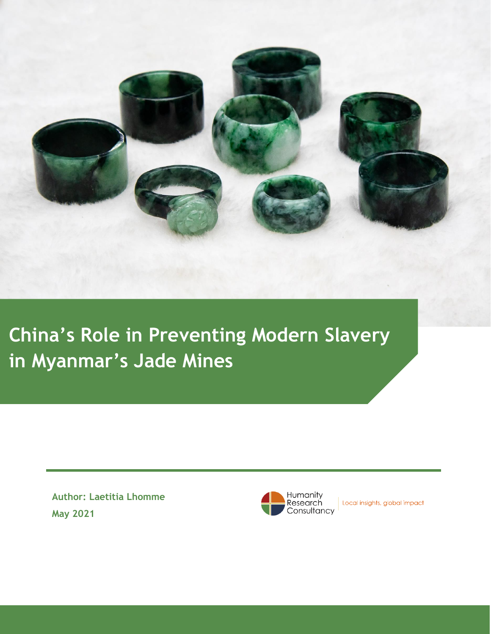

**China's Role in Preventing Modern Slavery in Myanmar's Jade Mines**

> **Author: Laetitia Lhomme May 2021**



Local insights, global impact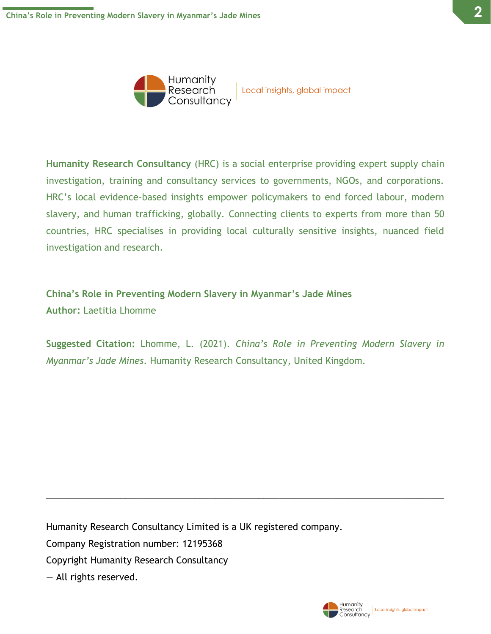



Local insights, global impact

**Humanity Research Consultancy** (HRC) is a social enterprise providing expert supply chain investigation, training and consultancy services to governments, NGOs, and corporations. HRC's local evidence-based insights empower policymakers to end forced labour, modern slavery, and human trafficking, globally. Connecting clients to experts from more than 50 countries, HRC specialises in providing local culturally sensitive insights, nuanced field investigation and research.

**China's Role in Preventing Modern Slavery in Myanmar's Jade Mines Author:** Laetitia Lhomme

**Suggested Citation:** Lhomme, L. (2021). *China's Role in Preventing Modern Slavery in Myanmar's Jade Mines*. Humanity Research Consultancy, United Kingdom.

 $\_$  , and the set of the set of the set of the set of the set of the set of the set of the set of the set of the set of the set of the set of the set of the set of the set of the set of the set of the set of the set of th

Humanity Research Consultancy Limited is a UK registered company. Company Registration number: 12195368 Copyright Humanity Research Consultancy — All rights reserved.

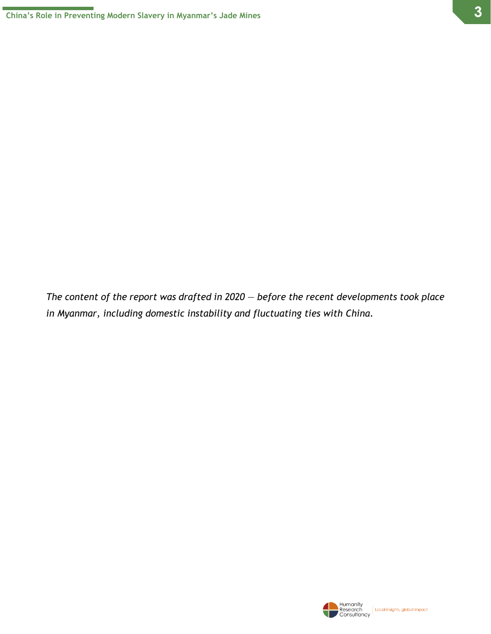*The content of the report was drafted in 2020* — *before the recent developments took place in Myanmar, including domestic instability and fluctuating ties with China.*

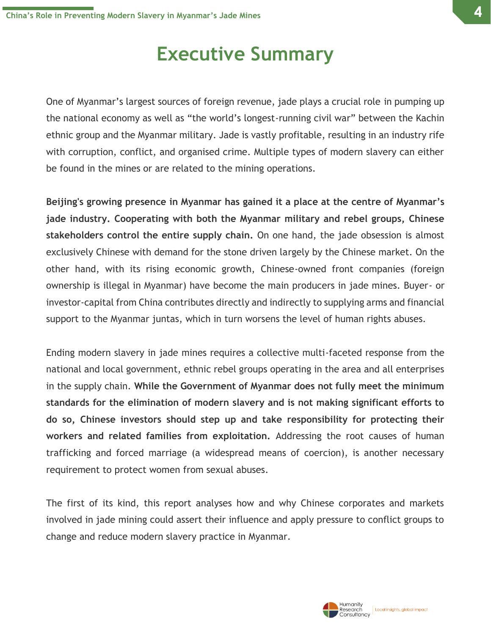### **Executive Summary**

One of Myanmar's largest sources of foreign revenue, jade plays a crucial role in pumping up the national economy as well as "the world's longest-running civil war" between the Kachin ethnic group and the Myanmar military. Jade is vastly profitable, resulting in an industry rife with corruption, conflict, and organised crime. Multiple types of modern slavery can either be found in the mines or are related to the mining operations.

**Beijing's growing presence in Myanmar has gained it a place at the centre of Myanmar's jade industry. Cooperating with both the Myanmar military and rebel groups, Chinese stakeholders control the entire supply chain.** On one hand, the jade obsession is almost exclusively Chinese with demand for the stone driven largely by the Chinese market. On the other hand, with its rising economic growth, Chinese-owned front companies (foreign ownership is illegal in Myanmar) have become the main producers in jade mines. Buyer- or investor-capital from China contributes directly and indirectly to supplying arms and financial support to the Myanmar juntas, which in turn worsens the level of human rights abuses.

Ending modern slavery in jade mines requires a collective multi-faceted response from the national and local government, ethnic rebel groups operating in the area and all enterprises in the supply chain. **While the Government of Myanmar does not fully meet the minimum standards for the elimination of modern slavery and is not making significant efforts to do so, Chinese investors should step up and take responsibility for protecting their workers and related families from exploitation.** Addressing the root causes of human trafficking and forced marriage (a widespread means of coercion), is another necessary requirement to protect women from sexual abuses.

The first of its kind, this report analyses how and why Chinese corporates and markets involved in jade mining could assert their influence and apply pressure to conflict groups to change and reduce modern slavery practice in Myanmar.

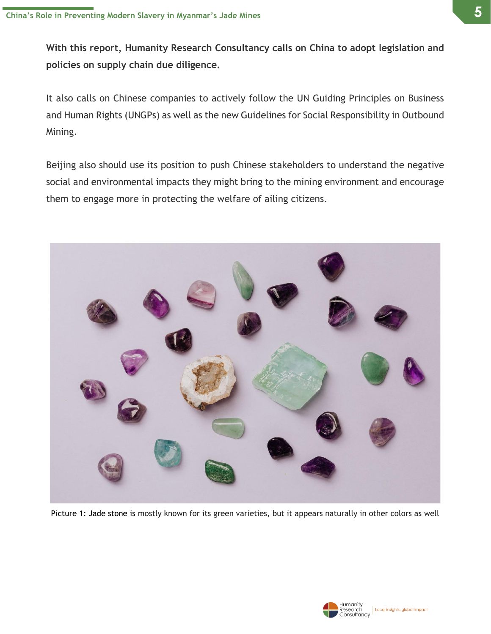**With this report, Humanity Research Consultancy calls on China to adopt legislation and policies on supply chain due diligence.** 

It also calls on Chinese companies to actively follow the UN Guiding Principles on Business and Human Rights (UNGPs) as well as the new Guidelines for Social Responsibility in Outbound Mining.

Beijing also should use its position to push Chinese stakeholders to understand the negative social and environmental impacts they might bring to the mining environment and encourage them to engage more in protecting the welfare of ailing citizens.



Picture 1: Jade stone is mostly known for its green varieties, but it appears naturally in other colors as well

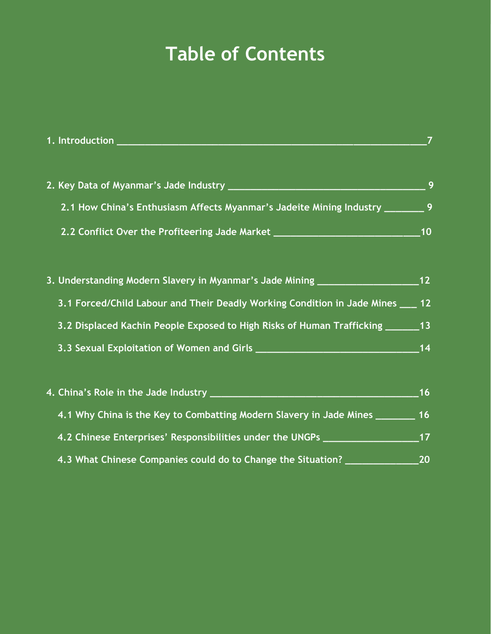## **Table of Contents**

|                                                                                                                 | $\overline{7}$ |
|-----------------------------------------------------------------------------------------------------------------|----------------|
|                                                                                                                 | 9              |
|                                                                                                                 |                |
| 2.1 How China's Enthusiasm Affects Myanmar's Jadeite Mining Industry ________ 9                                 |                |
| 2.2 Conflict Over the Profiteering Jade Market _________________________________                                | 10             |
|                                                                                                                 |                |
| 3. Understanding Modern Slavery in Myanmar's Jade Mining __________________                                     | 12             |
| 3.1 Forced/Child Labour and Their Deadly Working Condition in Jade Mines _                                      | 12             |
| 3.2 Displaced Kachin People Exposed to High Risks of Human Trafficking _______13                                |                |
|                                                                                                                 | 14             |
|                                                                                                                 |                |
|                                                                                                                 | 16             |
| 4.1 Why China is the Key to Combatting Modern Slavery in Jade Mines ___                                         | 16             |
| 4.2 Chinese Enterprises' Responsibilities under the UNGPs [198] [198] Chinese Enterprises' Responsibilities and | 17             |
| 4.3 What Chinese Companies could do to Change the Situation?                                                    | 20             |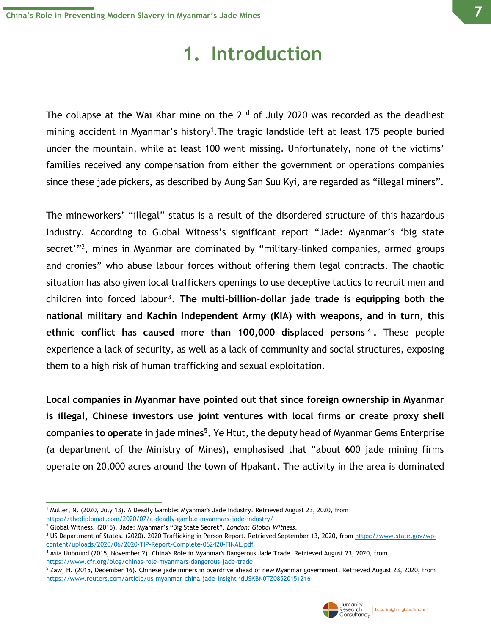### **1. Introduction**

The collapse at the Wai Khar mine on the  $2<sup>nd</sup>$  of July 2020 was recorded as the deadliest mining accident in Myanmar's history<sup>1</sup>. The tragic landslide left at least 175 people buried under the mountain, while at least 100 went missing. Unfortunately, none of the victims' families received any compensation from either the government or operations companies since these jade pickers, as described by Aung San Suu Kyi, are regarded as "illegal miners".

The mineworkers' "illegal" status is a result of the disordered structure of this hazardous industry. According to Global Witness's significant report "Jade: Myanmar's 'big state secret'"<sup>2</sup>, mines in Myanmar are dominated by "military-linked companies, armed groups and cronies" who abuse labour forces without offering them legal contracts. The chaotic situation has also given local traffickers openings to use deceptive tactics to recruit men and children into forced labour<sup>3</sup>. The multi-billion-dollar jade trade is equipping both the **national military and Kachin Independent Army (KIA) with weapons, and in turn, this ethnic conflict has caused more than 100,000 displaced persons <sup>4</sup> .** These people experience a lack of security, as well as a lack of community and social structures, exposing them to a high risk of human trafficking and sexual exploitation.

**Local companies in Myanmar have pointed out that since foreign ownership in Myanmar is illegal, Chinese investors use joint ventures with local firms or create proxy shell companies to operate in jade mines<sup>5</sup> .** Ye Htut, the deputy head of Myanmar Gems Enterprise (a department of the Ministry of Mines), emphasised that "about 600 jade mining firms operate on 20,000 acres around the town of Hpakant. The activity in the area is dominated

<sup>1</sup> Muller, N. (2020, July 13). A Deadly Gamble: Myanmar's Jade Industry. Retrieved August 23, 2020, from <https://thediplomat.com/2020/07/a-deadly-gamble-myanmars-jade-industry/>

<sup>2</sup> Global Witness. (2015). Jade: Myanmar's "Big State Secret". *London: Global Witness*.

<sup>&</sup>lt;sup>3</sup> US Department of States. (2020). 2020 Trafficking in Person Report. Retrieved September 13, 2020, from [https://www.state.gov/wp](https://www.state.gov/wp-content/uploads/2020/06/2020-TIP-Report-Complete-062420-FINAL.pdf)[content/uploads/2020/06/2020-TIP-Report-Complete-062420-FINAL.pdf](https://www.state.gov/wp-content/uploads/2020/06/2020-TIP-Report-Complete-062420-FINAL.pdf)

<sup>4</sup> Asia Unbound (2015, November 2). China's Role in Myanmar's Dangerous Jade Trade. Retrieved August 23, 2020, from <https://www.cfr.org/blog/chinas-role-myanmars-dangerous-jade-trade>

<sup>&</sup>lt;sup>5</sup> Zaw, H. (2015, December 16). Chinese jade miners in overdrive ahead of new Myanmar government. Retrieved August 23, 2020, from <https://www.reuters.com/article/us-myanmar-china-jade-insight-idUSKBN0TZ08520151216>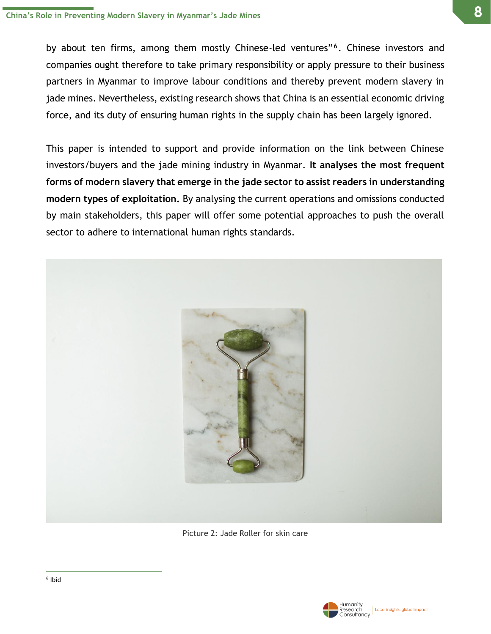by about ten firms, among them mostly Chinese-led ventures"<sup>6</sup>. Chinese investors and companies ought therefore to take primary responsibility or apply pressure to their business partners in Myanmar to improve labour conditions and thereby prevent modern slavery in jade mines. Nevertheless, existing research shows that China is an essential economic driving force, and its duty of ensuring human rights in the supply chain has been largely ignored.

This paper is intended to support and provide information on the link between Chinese investors/buyers and the jade mining industry in Myanmar. **It analyses the most frequent forms of modern slavery that emerge in the jade sector to assist readers in understanding modern types of exploitation.** By analysing the current operations and omissions conducted by main stakeholders, this paper will offer some potential approaches to push the overall sector to adhere to international human rights standards.



Picture 2: Jade Roller for skin care

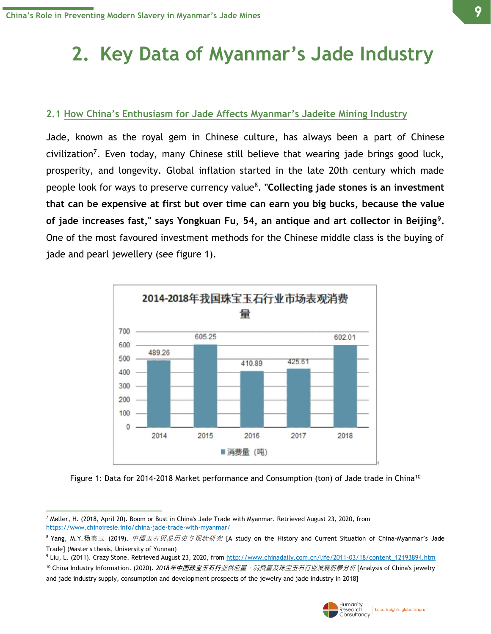# **2. Key Data of Myanmar's Jade Industry**

#### **2.1 How China's Enthusiasm for Jade Affects Myanmar's Jadeite Mining Industry**

Jade, known as the royal gem in Chinese culture, has always been a part of Chinese civilization<sup>7</sup>. Even today, many Chinese still believe that wearing jade brings good luck, prosperity, and longevity. Global inflation started in the late 20th century which made people look for ways to preserve currency value<sup>8</sup> . **"Collecting jade stones is an investment that can be expensive at first but over time can earn you big bucks, because the value of jade increases fast," says Yongkuan Fu, 54, an antique and art collector in Beijing<sup>9</sup> .** One of the most favoured investment methods for the Chinese middle class is the buying of jade and pearl jewellery (see figure 1).



Figure 1: Data for 2014-2018 Market performance and Consumption (ton) of Jade trade in China<sup>10</sup>



 $^7$  Møller, H. (2018, April 20). Boom or Bust in China's Jade Trade with Myanmar. Retrieved August 23, 2020, from <https://www.chinoiresie.info/china-jade-trade-with-myanmar/>

 $8$  Yang, M.Y.杨美玉 (2019). *中缅玉石贸易历史与现状研究* [A study on the History and Current Situation of China-Myanmar's Jade Trade] (Master's thesis, University of Yunnan)

<sup>9</sup> Liu, L. (2011). Crazy Stone. Retrieved August 23, 2020, from [http://www.chinadaily.com.cn/life/2011-03/18/content\\_12193894.htm](http://www.chinadaily.com.cn/life/2011-03/18/content_12193894.htm)

<sup>10</sup> China Industry Information. (2020). *2018*年中国珠宝玉石行业供应量、消费量及珠宝玉石行业发展前景分析 [Analysis of China's jewelry and jade industry supply, consumption and development prospects of the jewelry and jade industry in 2018]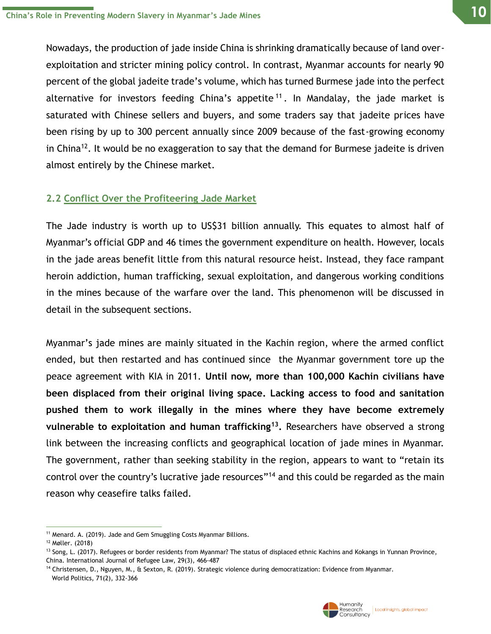**10**

Nowadays, the production of jade inside China is shrinking dramatically because of land overexploitation and stricter mining policy control. In contrast, Myanmar accounts for nearly 90 percent of the global jadeite trade's volume, which has turned Burmese jade into the perfect alternative for investors feeding China's appetite<sup>11</sup>. In Mandalay, the jade market is saturated with Chinese sellers and buyers, and some traders say that jadeite prices have been rising by up to 300 percent annually since 2009 because of the fast-growing economy in China<sup>12</sup>. It would be no exaggeration to say that the demand for Burmese jadeite is driven almost entirely by the Chinese market.

### **2.2 Conflict Over the Profiteering Jade Market**

The Jade industry is worth up to US\$31 billion annually. This equates to almost half of Myanmar's official GDP and 46 times the government expenditure on health. However, locals in the jade areas benefit little from this natural resource heist. Instead, they face rampant heroin addiction, human trafficking, sexual exploitation, and dangerous working conditions in the mines because of the warfare over the land. This phenomenon will be discussed in detail in the subsequent sections.

Myanmar's jade mines are mainly situated in the Kachin region, where the armed conflict ended, but then restarted and has continued since the Myanmar government tore up the peace agreement with KIA in 2011. **Until now, more than 100,000 Kachin civilians have been displaced from their original living space. Lacking access to food and sanitation pushed them to work illegally in the mines where they have become extremely vulnerable to exploitation and human trafficking<sup>13</sup> .** Researchers have observed a strong link between the increasing conflicts and geographical location of jade mines in Myanmar. The government, rather than seeking stability in the region, appears to want to "retain its control over the country's lucrative jade resources"<sup>14</sup> and this could be regarded as the main reason why ceasefire talks failed.

<sup>14</sup> Christensen, D., Nguyen, M., & Sexton, R. (2019). Strategic violence during democratization: Evidence from Myanmar. World Politics, 71(2), 332-366



<sup>&</sup>lt;sup>11</sup> Menard. A. (2019). Jade and Gem Smuggling Costs Myanmar Billions.

<sup>12</sup> Møller. (2018)

<sup>&</sup>lt;sup>13</sup> Song, L. (2017). Refugees or border residents from Myanmar? The status of displaced ethnic Kachins and Kokangs in Yunnan Province, China. International Journal of Refugee Law, 29(3), 466-487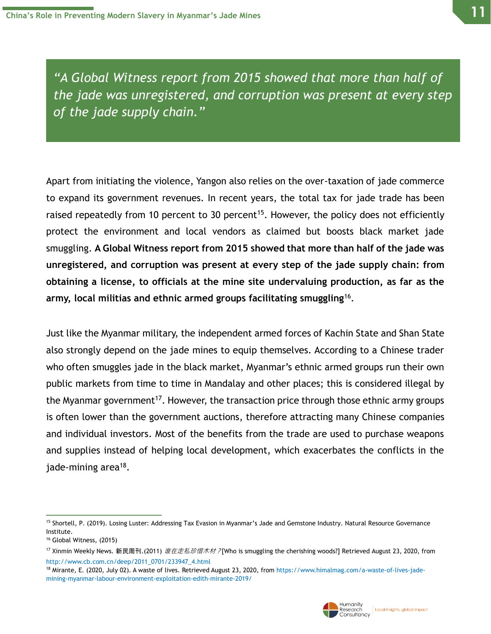*"A Global Witness report from 2015 showed that more than half of the jade was unregistered, and corruption was present at every step of the jade supply chain."*

Apart from initiating the violence, Yangon also relies on the over-taxation of jade commerce to expand its government revenues. In recent years, the total tax for jade trade has been raised repeatedly from 10 percent to 30 percent<sup>15</sup>. However, the policy does not efficiently protect the environment and local vendors as claimed but boosts black market jade smuggling. **A Global Witness report from 2015 showed that more than half of the jade was unregistered, and corruption was present at every step of the jade supply chain: from obtaining a license, to officials at the mine site undervaluing production, as far as the army, local militias and ethnic armed groups facilitating smuggling**<sup>16</sup> .

Just like the Myanmar military, the independent armed forces of Kachin State and Shan State also strongly depend on the jade mines to equip themselves. According to a Chinese trader who often smuggles jade in the black market, Myanmar's ethnic armed groups run their own public markets from time to time in Mandalay and other places; this is considered illegal by the Myanmar government<sup>17</sup>. However, the transaction price through those ethnic army groups is often lower than the government auctions, therefore attracting many Chinese companies and individual investors. Most of the benefits from the trade are used to purchase weapons and supplies instead of helping local development, which exacerbates the conflicts in the jade-mining area<sup>18</sup>.



<sup>&</sup>lt;sup>15</sup> Shortell, P. (2019). Losing Luster: Addressing Tax Evasion in Myanmar's Jade and Gemstone Industry. Natural Resource Governance Institute.

<sup>16</sup> Global Witness, (2015)

<sup>&</sup>lt;sup>17</sup> Xinmin Weekly News. 新民周刊.(2011) *谁在走私珍惜木材?*[Who is smuggling the cherishing woods?] Retrieved August 23, 2020, from [http://www.cb.com.cn/deep/2011\\_0701/233947\\_4.html](http://www.cb.com.cn/deep/2011_0701/233947_4.html)

<sup>18</sup> Mirante, E. (2020, July 02). A waste of lives. Retrieved August 23, 2020, fro[m https://www.himalmag.com/a-waste-of-lives-jade](https://www.himalmag.com/a-waste-of-lives-jade-mining-myanmar-labour-environment-exploitation-edith-mirante-2019/)[mining-myanmar-labour-environment-exploitation-edith-mirante-2019/](https://www.himalmag.com/a-waste-of-lives-jade-mining-myanmar-labour-environment-exploitation-edith-mirante-2019/)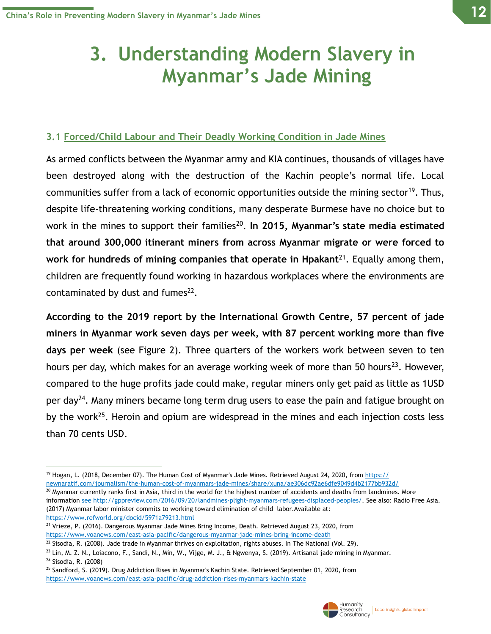## **3. Understanding Modern Slavery in Myanmar's Jade Mining**

#### **3.1 Forced/Child Labour and Their Deadly Working Condition in Jade Mines**

As armed conflicts between the Myanmar army and KIA continues, thousands of villages have been destroyed along with the destruction of the Kachin people's normal life. Local communities suffer from a lack of economic opportunities outside the mining sector<sup>19</sup>. Thus, despite life-threatening working conditions, many desperate Burmese have no choice but to work in the mines to support their families<sup>20</sup>. In 2015, Myanmar's state media estimated **that around 300,000 itinerant miners from across Myanmar migrate or were forced to work for hundreds of mining companies that operate in Hpakant**<sup>21</sup>. Equally among them, children are frequently found working in hazardous workplaces where the environments are contaminated by dust and fumes $^{22}$ .

**According to the 2019 report by the International Growth Centre, 57 percent of jade miners in Myanmar work seven days per week, with 87 percent working more than five days per week** (see Figure 2). Three quarters of the workers work between seven to ten hours per day, which makes for an average working week of more than 50 hours<sup>23</sup>. However, compared to the huge profits jade could make, regular miners only get paid as little as 1USD per day<sup>24</sup>. Many miners became long term drug users to ease the pain and fatigue brought on by the work<sup>25</sup>. Heroin and opium are widespread in the mines and each injection costs less than 70 cents USD.



<sup>19</sup> Hogan, L. (2018, December 07). The Human Cost of Myanmar's Jade Mines. Retrieved August 24, 2020, from https:// newnaratif.com/journalism/the-human-cost-of-myanmars-jade-mines/share/xuna/ae306dc92ae6dfe9049d4b2177bb932d/

 $20$  Myanmar currently ranks first in Asia, third in the world for the highest number of accidents and deaths from landmines. More information se[e http://gppreview.com/2016/09/20/landmines-plight-myanmars-refugees-displaced-peoples/.](http://gppreview.com/2016/09/20/landmines-plight-myanmars-refugees-displaced-peoples/) See also: Radio Free Asia. (2017) Myanmar labor minister commits to working toward elimination of child labor.Available at: https://www.refworld.org/docid/5971a79213.html

<sup>&</sup>lt;sup>21</sup> Vrieze, P. (2016). Dangerous Myanmar Jade Mines Bring Income, Death. Retrieved August 23, 2020, from <https://www.voanews.com/east-asia-pacific/dangerous-myanmar-jade-mines-bring-income-death>

 $^{22}$  Sisodia, R. (2008). Jade trade in Myanmar thrives on exploitation, rights abuses. In The National (Vol. 29).

 $^{23}$  Lin, M. Z. N., Loiacono, F., Sandi, N., Min, W., Vijge, M. J., & Ngwenya, S. (2019). Artisanal jade mining in Myanmar.

<sup>24</sup> Sisodia, R. (2008)

<sup>&</sup>lt;sup>25</sup> Sandford, S. (2019). Drug Addiction Rises in Myanmar's Kachin State. Retrieved September 01, 2020, from <https://www.voanews.com/east-asia-pacific/drug-addiction-rises-myanmars-kachin-state>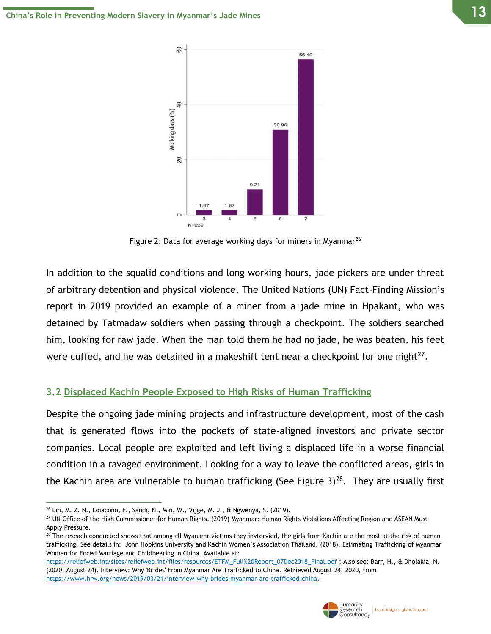

Figure 2: Data for average working days for miners in Myanmar<sup>26</sup>

In addition to the squalid conditions and long working hours, jade pickers are under threat of arbitrary detention and physical violence. The United Nations (UN) Fact-Finding Mission's report in 2019 provided an example of a miner from a jade mine in Hpakant, who was detained by Tatmadaw soldiers when passing through a checkpoint. The soldiers searched him, looking for raw jade. When the man told them he had no jade, he was beaten, his feet were cuffed, and he was detained in a makeshift tent near a checkpoint for one night $^{27}$ .

#### **3.2 Displaced Kachin People Exposed to High Risks of Human Trafficking**

Despite the ongoing jade mining projects and infrastructure development, most of the cash that is generated flows into the pockets of state-aligned investors and private sector companies. Local people are exploited and left living a displaced life in a worse financial condition in a ravaged environment. Looking for a way to leave the conflicted areas, girls in the Kachin area are vulnerable to human trafficking (See Figure 3)<sup>28</sup>. They are usually first

[https://reliefweb.int/sites/reliefweb.int/files/resources/ETFM\\_Full%20Report\\_07Dec2018\\_Final.pdf](https://reliefweb.int/sites/reliefweb.int/files/resources/ETFM_Full%20Report_07Dec2018_Final.pdf) ; Also see: Barr, H., & Dholakia, N. (2020, August 24). Interview: Why 'Brides' From Myanmar Are Trafficked to China. Retrieved August 24, 2020, from [https://www.hrw.org/news/2019/03/21/interview-why-brides-myanmar-are-trafficked-china.](https://www.hrw.org/news/2019/03/21/interview-why-brides-myanmar-are-trafficked-china)



<sup>26</sup> Lin, M. Z. N., Loiacono, F., Sandi, N., Min, W., Vijge, M. J., & Ngwenya, S. (2019).

<sup>&</sup>lt;sup>27</sup> UN Office of the High Commissioner for Human Rights. (2019) Myanmar: Human Rights Violations Affecting Region and ASEAN Must Apply Pressure.

 $^{28}$  The reseach conducted shows that among all Myanamr victims they invtervied, the girls from Kachin are the most at the risk of human trafficking. See details in: John Hopkins University and Kachin Women's Association Thailand. (2018). Estimating Trafficking of Myanmar Women for Foced Marriage and Childbearing in China. Available at: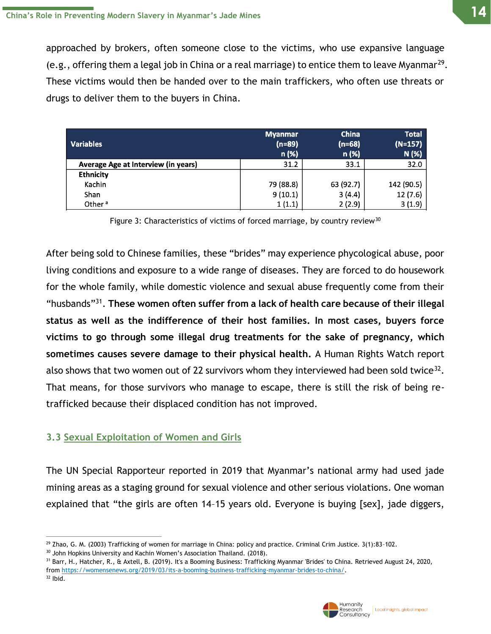approached by brokers, often someone close to the victims, who use expansive language (e.g., offering them a legal job in China or a real marriage) to entice them to leave Myanmar<sup>29</sup>. These victims would then be handed over to the main traffickers, who often use threats or drugs to deliver them to the buyers in China.

| <b>Variables</b>                    | <b>Myanmar</b><br>$(n=89)$<br>n (%) | <b>China</b><br>$(n=68)$<br>n (%) | <b>Total</b><br>$(N=157)$<br>N (%) |
|-------------------------------------|-------------------------------------|-----------------------------------|------------------------------------|
| Average Age at Interview (in years) | 31.2                                | 33.1                              | 32.0                               |
| <b>Ethnicity</b>                    |                                     |                                   |                                    |
| Kachin                              | 79 (88.8)                           | 63 (92.7)                         | 142 (90.5)                         |
| Shan                                | 9(10.1)                             | 3(4.4)                            | 12(7.6)                            |
| Other <sup>a</sup>                  | 1(1.1)                              | 2(2.9)                            | 3(1.9)                             |

Figure 3: Characteristics of victims of forced marriage, by country review<sup>30</sup>

After being sold to Chinese families, these "brides" may experience phycological abuse, poor living conditions and exposure to a wide range of diseases. They are forced to do housework for the whole family, while domestic violence and sexual abuse frequently come from their "husbands"<sup>31</sup> . **These women often suffer from a lack of health care because of their illegal status as well as the indifference of their host families. In most cases, buyers force victims to go through some illegal drug treatments for the sake of pregnancy, which sometimes causes severe damage to their physical health.** A Human Rights Watch report also shows that two women out of 22 survivors whom they interviewed had been sold twice<sup>32</sup>. That means, for those survivors who manage to escape, there is still the risk of being retrafficked because their displaced condition has not improved.

#### **3.3 Sexual Exploitation of Women and Girls**

The UN Special Rapporteur reported in 2019 that Myanmar's national army had used jade mining areas as a staging ground for sexual violence and other serious violations. One woman explained that "the girls are often 14–15 years old. Everyone is buying [sex], jade diggers,



 $29$  Zhao, G. M. (2003) Trafficking of women for marriage in China: policy and practice. Criminal Crim Justice.  $3(1):83-102$ .

<sup>&</sup>lt;sup>30</sup> John Hopkins University and Kachin Women's Association Thailand. (2018).

<sup>&</sup>lt;sup>31</sup> Barr, H., Hatcher, R., & Axtell, B. (2019). It's a Booming Business: Trafficking Myanmar 'Brides' to China. Retrieved August 24, 2020, from [https://womensenews.org/2019/03/its-a-booming-business-trafficking-myanmar-brides-to-china/.](https://womensenews.org/2019/03/its-a-booming-business-trafficking-myanmar-brides-to-china/)  $32$  Ibid.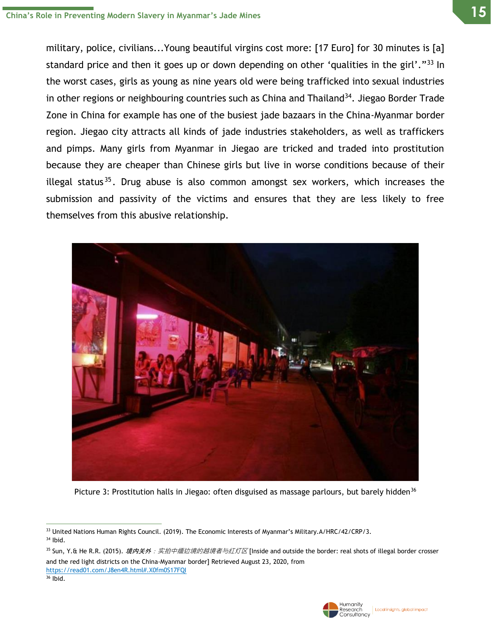military, police, civilians...Young beautiful virgins cost more: [17 Euro] for 30 minutes is [a] standard price and then it goes up or down depending on other 'qualities in the girl'."<sup>33</sup> In the worst cases, girls as young as nine years old were being trafficked into sexual industries in other regions or neighbouring countries such as China and Thailand<sup>34</sup>. Jiegao Border Trade Zone in China for example has one of the busiest jade bazaars in the China-Myanmar border region. Jiegao city attracts all kinds of jade industries stakeholders, as well as traffickers and pimps. Many girls from Myanmar in Jiegao are tricked and traded into prostitution because they are cheaper than Chinese girls but live in worse conditions because of their illegal status<sup>35</sup>. Drug abuse is also common amongst sex workers, which increases the submission and passivity of the victims and ensures that they are less likely to free themselves from this abusive relationship.



Picture 3: Prostitution halls in Jiegao: often disguised as massage parlours, but barely hidden<sup>36</sup>

<sup>35</sup> Sun, Y.& He R.R. (2015). *境内关外:实拍中缅边境的越境者与红灯区* [Inside and outside the border: real shots of illegal border crosser and the red light districts on the China-Myanmar border] Retrieved August 23, 2020, from <https://read01.com/J8en4R.html#.X0fm0S17FQI>

 $36$  Ibid.



<sup>33</sup> United Nations Human Rights Council. (2019). The Economic Interests of Myanmar's Military.A/HRC/42/CRP/3. <sup>34</sup> Ibid.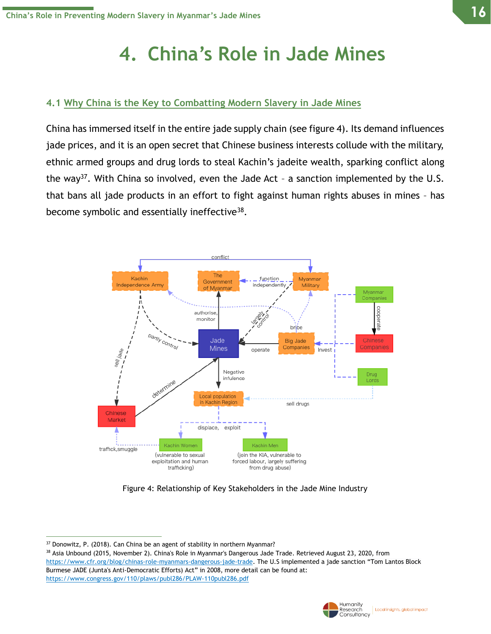# **4. China's Role in Jade Mines**

#### **4.1 Why China is the Key to Combatting Modern Slavery in Jade Mines**

China has immersed itself in the entire jade supply chain (see figure 4). Its demand influences jade prices, and it is an open secret that Chinese business interests collude with the military, ethnic armed groups and drug lords to steal Kachin's jadeite wealth, sparking conflict along the way<sup>37</sup>. With China so involved, even the Jade Act - a sanction implemented by the U.S. that bans all jade products in an effort to fight against human rights abuses in mines – has become symbolic and essentially ineffective<sup>38</sup>.



Figure 4: Relationship of Key Stakeholders in the Jade Mine Industry



<sup>37</sup> Donowitz, P. (2018). Can China be an agent of stability in northern Myanmar?

<sup>38</sup> Asia Unbound (2015, November 2). China's Role in Myanmar's Dangerous Jade Trade. Retrieved August 23, 2020, from [https://www.cfr.org/blog/chinas-role-myanmars-dangerous-jade-trade.](https://www.cfr.org/blog/chinas-role-myanmars-dangerous-jade-trade) The U.S implemented a jade sanction "Tom Lantos Block Burmese JADE (Junta's Anti-Democratic Efforts) Act" in 2008, more detail can be found at: <https://www.congress.gov/110/plaws/publ286/PLAW-110publ286.pdf>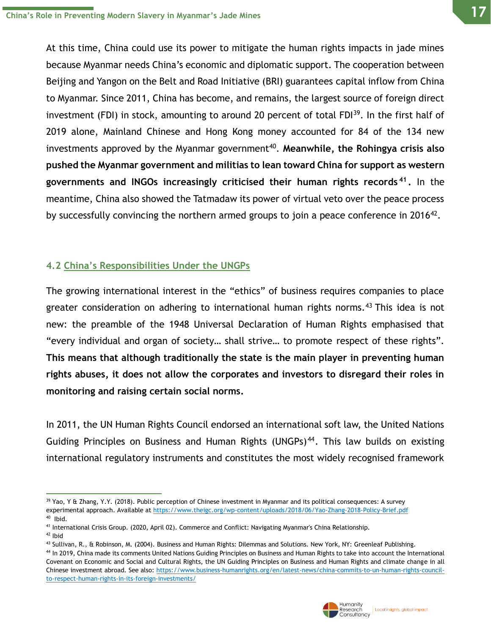At this time, China could use its power to mitigate the human rights impacts in jade mines because Myanmar needs China's economic and diplomatic support. The cooperation between Beijing and Yangon on the Belt and Road Initiative (BRI) guarantees capital inflow from China to Myanmar. Since 2011, China has become, and remains, the largest source of foreign direct investment (FDI) in stock, amounting to around 20 percent of total FDI<sup>39</sup>. In the first half of 2019 alone, Mainland Chinese and Hong Kong money accounted for 84 of the 134 new investments approved by the Myanmar government<sup>40</sup>. Meanwhile, the Rohingya crisis also **pushed the Myanmar government and militias to lean toward China for support as western governments and INGOs increasingly criticised their human rights records <sup>41</sup> .** In the meantime, China also showed the Tatmadaw its power of virtual veto over the peace process by successfully convincing the northern armed groups to join a peace conference in 2016<sup>42</sup>.

### **4.2 China's Responsibilities Under the UNGPs**

The growing international interest in the "ethics" of business requires companies to place greater consideration on adhering to international human rights norms.<sup>43</sup> This idea is not new: the preamble of the 1948 Universal Declaration of Human Rights emphasised that "every individual and organ of society… shall strive… to promote respect of these rights". **This means that although traditionally the state is the main player in preventing human rights abuses, it does not allow the corporates and investors to disregard their roles in monitoring and raising certain social norms.**

In 2011, the UN Human Rights Council endorsed an international soft law, the United Nations Guiding Principles on Business and Human Rights (UNGPs) <sup>44</sup>. This law builds on existing international regulatory instruments and constitutes the most widely recognised framework

<sup>44</sup> In 2019, China made its comments United Nations Guiding Principles on Business and Human Rights to take into account the International Covenant on Economic and Social and Cultural Rights, the UN Guiding Principles on Business and Human Rights and climate change in all Chinese investment abroad. See also: [https://www.business-humanrights.org/en/latest-news/china-commits-to-un-human-rights-council](https://www.business-humanrights.org/en/latest-news/china-commits-to-un-human-rights-council-to-respect-human-rights-in-its-foreign-investments/)[to-respect-human-rights-in-its-foreign-investments/](https://www.business-humanrights.org/en/latest-news/china-commits-to-un-human-rights-council-to-respect-human-rights-in-its-foreign-investments/)



<sup>&</sup>lt;sup>39</sup> Yao, Y & Zhang, Y.Y. (2018). Public perception of Chinese investment in Myanmar and its political consequences: A survey experimental approach. Available at<https://www.theigc.org/wp-content/uploads/2018/06/Yao-Zhang-2018-Policy-Brief.pdf> 40 Ibid.

<sup>41</sup> International Crisis Group. (2020, April 02). Commerce and Conflict: Navigating Myanmar's China Relationship.

<sup>42</sup> Ibid

<sup>43</sup> Sullivan, R., & Robinson, M. (2004). Business and Human Rights: Dilemmas and Solutions. New York, NY: Greenleaf Publishing.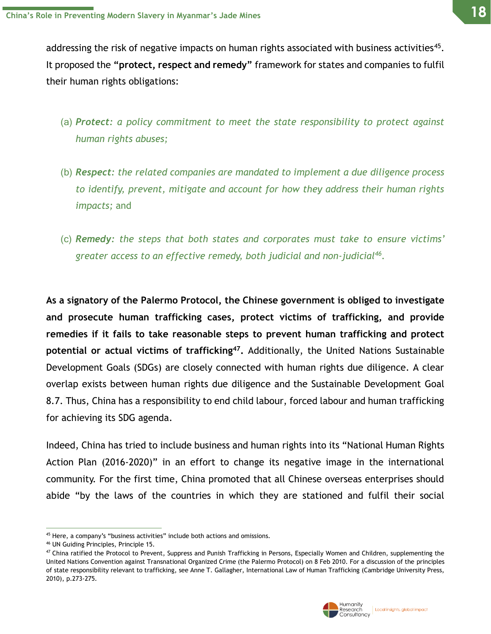addressing the risk of negative impacts on human rights associated with business activities<sup>45</sup>. It proposed the **"protect, respect and remedy"** framework for states and companies to fulfil their human rights obligations:

- (a) *Protect: a policy commitment to meet the state responsibility to protect against human rights abuses;*
- (b) *Respect: the related companies are mandated to implement a due diligence process to identify, prevent, mitigate and account for how they address their human rights impacts;* and
- (c) *Remedy: the steps that both states and corporates must take to ensure victims' greater access to an effective remedy, both judicial and non-judicial<sup>46</sup> .*

**As a signatory of the Palermo Protocol, the Chinese government is obliged to investigate and prosecute human trafficking cases, protect victims of trafficking, and provide remedies if it fails to take reasonable steps to prevent human trafficking and protect potential or actual victims of trafficking<sup>47</sup> .** Additionally, the United Nations Sustainable Development Goals (SDGs) are closely connected with human rights due diligence. A clear overlap exists between human rights due diligence and the Sustainable Development Goal 8.7. Thus, China has a responsibility to end child labour, forced labour and human trafficking for achieving its SDG agenda.

Indeed, China has tried to include business and human rights into its "National Human Rights Action Plan (2016-2020)" in an effort to change its negative image in the international community. For the first time, China promoted that all Chinese overseas enterprises should abide "by the laws of the countries in which they are stationed and fulfil their social



<sup>&</sup>lt;sup>45</sup> Here, a company's "business activities" include both actions and omissions.

<sup>46</sup> UN Guiding Principles, Principle 15.

<sup>&</sup>lt;sup>47</sup> China ratified the Protocol to Prevent, Suppress and Punish Trafficking in Persons, Especially Women and Children, supplementing the United Nations Convention against Transnational Organized Crime (the Palermo Protocol) on 8 Feb 2010. For a discussion of the principles of state responsibility relevant to trafficking, see Anne T. Gallagher, International Law of Human Trafficking (Cambridge University Press, 2010), p.273-275.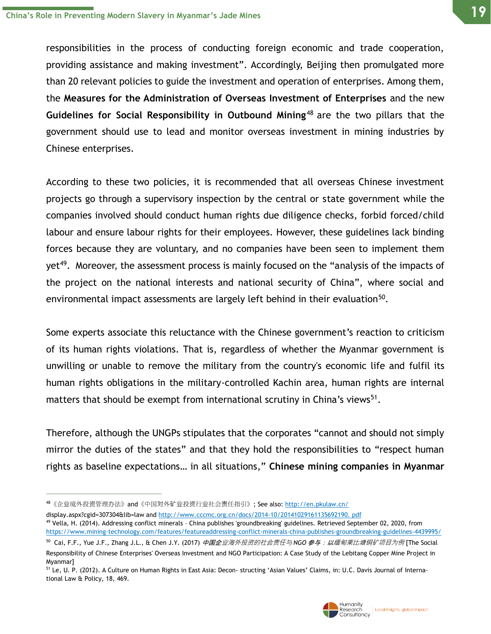responsibilities in the process of conducting foreign economic and trade cooperation, providing assistance and making investment". Accordingly, Beijing then promulgated more than 20 relevant policies to guide the investment and operation of enterprises. Among them, the **Measures for the Administration of Overseas Investment of Enterprises** and the new **Guidelines for Social Responsibility in Outbound Mining**<sup>48</sup> are the two pillars that the government should use to lead and monitor overseas investment in mining industries by Chinese enterprises.

According to these two policies, it is recommended that all overseas Chinese investment projects go through a supervisory inspection by the central or state government while the companies involved should conduct human rights due diligence checks, forbid forced/child labour and ensure labour rights for their employees. However, these guidelines lack binding forces because they are voluntary, and no companies have been seen to implement them yet<sup>49</sup>. Moreover, the assessment process is mainly focused on the "analysis of the impacts of the project on the national interests and national security of China", where social and environmental impact assessments are largely left behind in their evaluation $^{50}$ .

Some experts associate this reluctance with the Chinese government's reaction to criticism of its human rights violations. That is, regardless of whether the Myanmar government is unwilling or unable to remove the military from the country's economic life and fulfil its human rights obligations in the military-controlled Kachin area, human rights are internal matters that should be exempt from international scrutiny in China's views<sup>51</sup>.

Therefore, although the UNGPs stipulates that the corporates "cannot and should not simply mirror the duties of the states" and that they hold the responsibilities to "respect human rights as baseline expectations… in all situations," **Chinese mining companies in Myanmar**



<sup>48</sup>《企业境外投资管理办法》and《中国对外矿业投资行业社会责任指引》; See also[: http://en.pkulaw.cn/](http://en.pkulaw.cn/)

display.aspx?cgid=307304&lib=law an[d http://www.cccmc.org.cn/docs/2014-10/20141029161135692190. pdf](http://www.cccmc.org.cn/docs/2014-10/2014102916)

<sup>49</sup> Vella, H. (2014). Addressing conflict minerals – China publishes 'groundbreaking' guidelines. Retrieved September 02, 2020, from <https://www.mining-technology.com/features/featureaddressing-conflict-minerals-china-publishes-groundbreaking-guidelines-4439995/>

<sup>&</sup>lt;sup>50</sup> Cai, F.F., Yue J.F., Zhang J.L., & Chen J.Y. (2017) *中国企业海外投资的社会责任与* NGO *参与:以缅甸莱比塘铜矿项目为例* [The Social Responsibility of Chinese Enterprises' Overseas Investment and NGO Participation: A Case Study of the Lebitang Copper Mine Project in Myanmar]

<sup>&</sup>lt;sup>51</sup> Le, U. P. (2012). A Culture on Human Rights in East Asia: Decon- structing 'Asian Values' Claims, in: U.C. Davis Journal of International Law & Policy, 18, 469.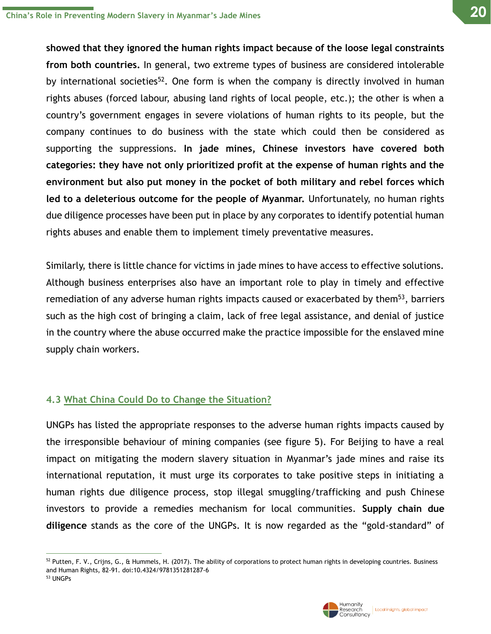**showed that they ignored the human rights impact because of the loose legal constraints from both countries.** In general, two extreme types of business are considered intolerable by international societies<sup>52</sup>. One form is when the company is directly involved in human rights abuses (forced labour, abusing land rights of local people, etc.); the other is when a country's government engages in severe violations of human rights to its people, but the company continues to do business with the state which could then be considered as supporting the suppressions. **In jade mines, Chinese investors have covered both categories: they have not only prioritized profit at the expense of human rights and the environment but also put money in the pocket of both military and rebel forces which led to a deleterious outcome for the people of Myanmar.** Unfortunately, no human rights due diligence processes have been put in place by any corporates to identify potential human rights abuses and enable them to implement timely preventative measures.

Similarly, there is little chance for victims in jade mines to have access to effective solutions. Although business enterprises also have an important role to play in timely and effective remediation of any adverse human rights impacts caused or exacerbated by them<sup>53</sup>, barriers such as the high cost of bringing a claim, lack of free legal assistance, and denial of justice in the country where the abuse occurred make the practice impossible for the enslaved mine supply chain workers.

### **4.3 What China Could Do to Change the Situation?**

UNGPs has listed the appropriate responses to the adverse human rights impacts caused by the irresponsible behaviour of mining companies (see figure 5). For Beijing to have a real impact on mitigating the modern slavery situation in Myanmar's jade mines and raise its international reputation, it must urge its corporates to take positive steps in initiating a human rights due diligence process, stop illegal smuggling/trafficking and push Chinese investors to provide a remedies mechanism for local communities. **Supply chain due diligence** stands as the core of the UNGPs. It is now regarded as the "gold-standard" of



 $52$  Putten, F. V., Crijns, G., & Hummels, H. (2017). The ability of corporations to protect human rights in developing countries. Business and Human Rights, 82-91. doi:10.4324/9781351281287-6 <sup>53</sup> UNGPs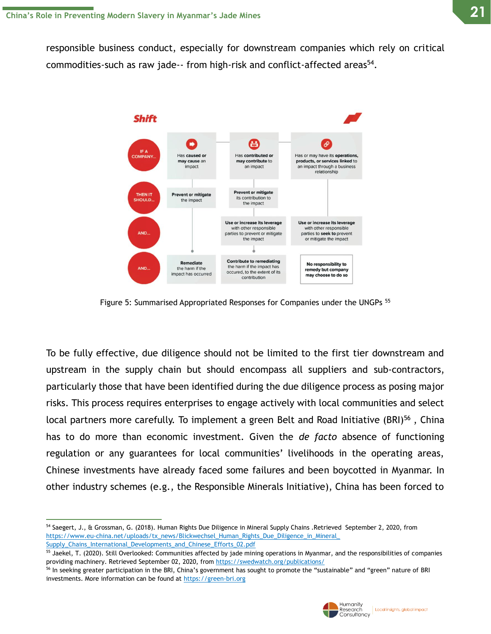**21**

responsible business conduct, especially for downstream companies which rely on critical commodities-such as raw jade-- from high-risk and conflict-affected areas<sup>54</sup>.



Figure 5: Summarised Appropriated Responses for Companies under the UNGPs <sup>55</sup>

To be fully effective, due diligence should not be limited to the first tier downstream and upstream in the supply chain but should encompass all suppliers and sub-contractors, particularly those that have been identified during the due diligence process as posing major risks. This process requires enterprises to engage actively with local communities and select local partners more carefully. To implement a green Belt and Road Initiative (BRI)<sup>56</sup>, China has to do more than economic investment. Given the *de facto* absence of functioning regulation or any guarantees for local communities' livelihoods in the operating areas, Chinese investments have already faced some failures and been boycotted in Myanmar. In other industry schemes (e.g., the Responsible Minerals Initiative), China has been forced to

<sup>&</sup>lt;sup>56</sup> In seeking greater participation in the BRI, China's government has sought to promote the "sustainable" and "green" nature of BRI investments. More information can be found at [https://green-bri.org](https://green-bri.org/)



<sup>54</sup> Saegert, J., & Grossman, G. (2018). Human Rights Due Diligence in Mineral Supply Chains .Retrieved September 2, 2020, from [https://www.eu-china.net/uploads/tx\\_news/Blickwechsel\\_Human\\_Rights\\_Due\\_Diligence\\_in\\_Mineral\\_](https://www.eu-china.net/uploads/tx_news/Blickwechsel_Human_Rights_Due_Diligence_in_Mineral_) [Supply\\_Chains\\_International\\_Developments\\_and\\_Chinese\\_Efforts\\_02.pdf](https://www.eu-china.net/uploads/tx_news/Blickwechsel_Human_Rights_Due_Diligence_in_Mineral_)

<sup>&</sup>lt;sup>55</sup> Jaekel, T. (2020). Still Overlooked: Communities affected by jade mining operations in Myanmar, and the responsibilities of companies providing machinery. Retrieved September 02, 2020, from<https://swedwatch.org/publications/>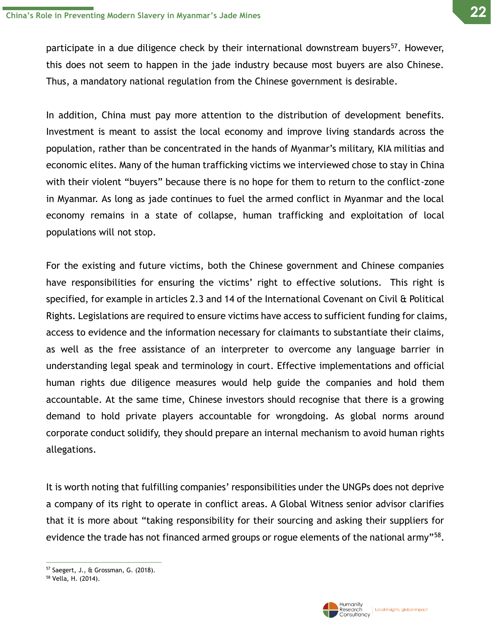participate in a due diligence check by their international downstream buyers<sup>57</sup>. However, this does not seem to happen in the jade industry because most buyers are also Chinese. Thus, a mandatory national regulation from the Chinese government is desirable.

In addition, China must pay more attention to the distribution of development benefits. Investment is meant to assist the local economy and improve living standards across the population, rather than be concentrated in the hands of Myanmar's military, KIA militias and economic elites. Many of the human trafficking victims we interviewed chose to stay in China with their violent "buyers" because there is no hope for them to return to the conflict-zone in Myanmar. As long as jade continues to fuel the armed conflict in Myanmar and the local economy remains in a state of collapse, human trafficking and exploitation of local populations will not stop.

For the existing and future victims, both the Chinese government and Chinese companies have responsibilities for ensuring the victims' right to effective solutions. This right is specified, for example in articles 2.3 and 14 of the International Covenant on Civil & Political Rights. Legislations are required to ensure victims have access to sufficient funding for claims, access to evidence and the information necessary for claimants to substantiate their claims, as well as the free assistance of an interpreter to overcome any language barrier in understanding legal speak and terminology in court. Effective implementations and official human rights due diligence measures would help guide the companies and hold them accountable. At the same time, Chinese investors should recognise that there is a growing demand to hold private players accountable for wrongdoing. As global norms around corporate conduct solidify, they should prepare an internal mechanism to avoid human rights allegations.

It is worth noting that fulfilling companies' responsibilities under the UNGPs does not deprive a company of its right to operate in conflict areas. A Global Witness senior advisor clarifies that it is more about "taking responsibility for their sourcing and asking their suppliers for evidence the trade has not financed armed groups or rogue elements of the national army"<sup>58</sup>.



Local insights, global impact

<sup>57</sup> Saegert, J., & Grossman, G. (2018).

<sup>58</sup> Vella, H. (2014).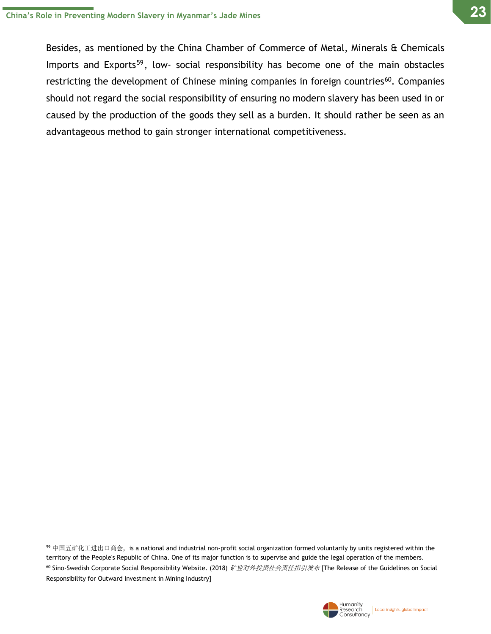Besides, as mentioned by the China Chamber of Commerce of Metal, Minerals & Chemicals Imports and Exports<sup>59</sup>, low- social responsibility has become one of the main obstacles restricting the development of Chinese mining companies in foreign countries<sup>60</sup>. Companies should not regard the social responsibility of ensuring no modern slavery has been used in or caused by the production of the goods they sell as a burden. It should rather be seen as an advantageous method to gain stronger international competitiveness.

 $59$  中国五矿化工进出口商会, is a national and industrial non-profit social organization formed voluntarily by units registered within the territory of the People's Republic of China. One of its major function is to supervise and guide the legal operation of the members.

<sup>60</sup> Sino-Swedish Corporate Social Responsibility Website. (2018) 矿业对外投资社会责任指引发布 [The Release of the Guidelines on Social Responsibility for Outward Investment in Mining Industry]